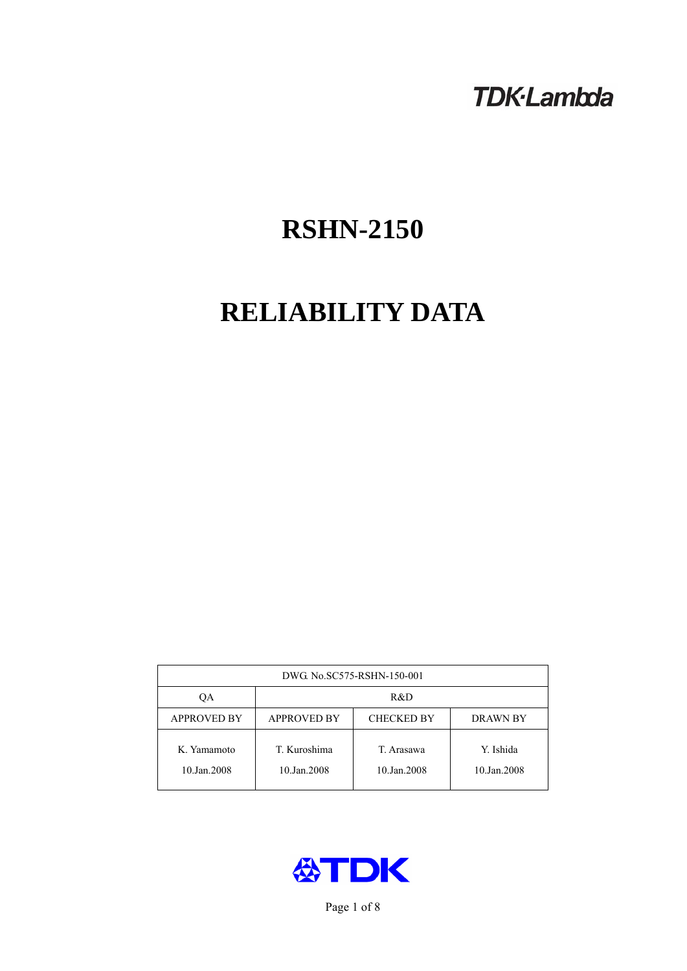# **TDK-Lambda**

# **RSHN-2150**

# **RELIABILITY DATA**

| DWG. No.SC575-RSHN-150-001 |                                                     |                           |                          |  |  |
|----------------------------|-----------------------------------------------------|---------------------------|--------------------------|--|--|
| ОA                         | R&D                                                 |                           |                          |  |  |
| <b>APPROVED BY</b>         | <b>APPROVED BY</b><br><b>CHECKED BY</b><br>DRAWN BY |                           |                          |  |  |
| K. Yamamoto<br>10.Jan.2008 | T. Kuroshima<br>10.Jan.2008                         | T. Arasawa<br>10.Jan.2008 | Y. Ishida<br>10.Jan.2008 |  |  |



Page 1 of 8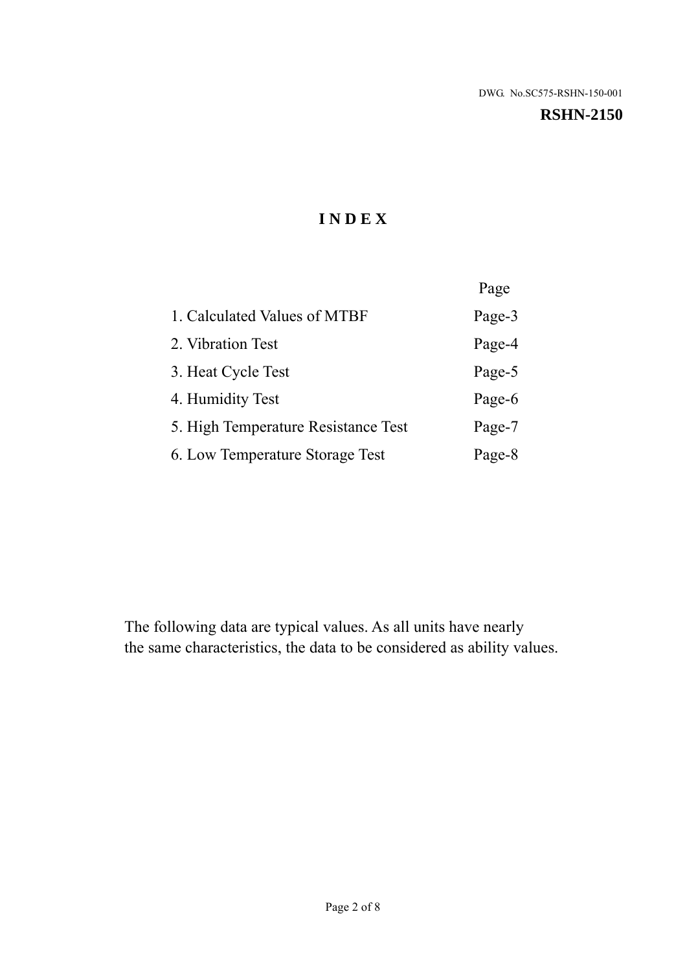# **RSHN-2150**

# **I N D E X**

|                                     | Page   |
|-------------------------------------|--------|
| 1. Calculated Values of MTBF        | Page-3 |
| 2. Vibration Test                   | Page-4 |
| 3. Heat Cycle Test                  | Page-5 |
| 4. Humidity Test                    | Page-6 |
| 5. High Temperature Resistance Test | Page-7 |
| 6. Low Temperature Storage Test     | Page-8 |

The following data are typical values. As all units have nearly the same characteristics, the data to be considered as ability values.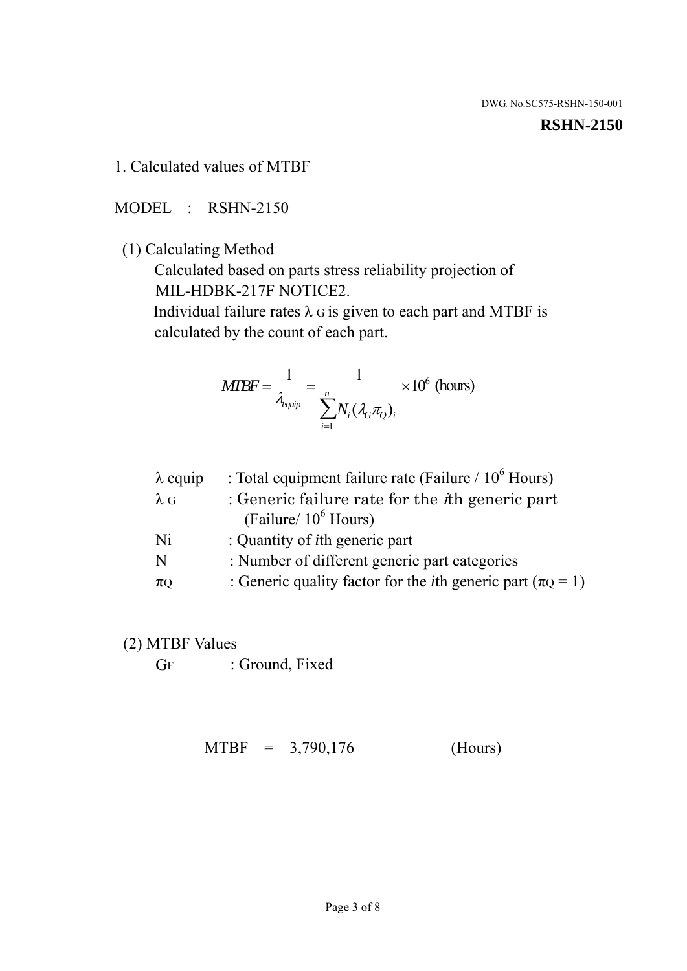#### **RSHN-2150**

1. Calculated values of MTBF

MODEL : RSHN-2150

(1) Calculating Method

 Calculated based on parts stress reliability projection of MIL-HDBK-217F NOTICE2.

Individual failure rates  $\lambda$  G is given to each part and MTBF is calculated by the count of each part.

$$
MTBF = \frac{1}{\lambda_{\text{equip}}} = \frac{1}{\sum_{i=1}^{n} N_i (\lambda_G \pi_Q)_i} \times 10^6 \text{ (hours)}
$$

| : Total equipment failure rate (Failure / $10^6$ Hours)                   |
|---------------------------------------------------------------------------|
| : Generic failure rate for the $\hbar$ generic part                       |
| (Failure/ $10^6$ Hours)                                                   |
| : Quantity of <i>i</i> th generic part                                    |
| : Number of different generic part categories                             |
| : Generic quality factor for the <i>i</i> th generic part ( $\pi Q = 1$ ) |
|                                                                           |

- (2) MTBF Values
	- GF : Ground, Fixed

 $MTBF = 3,790,176$  (Hours)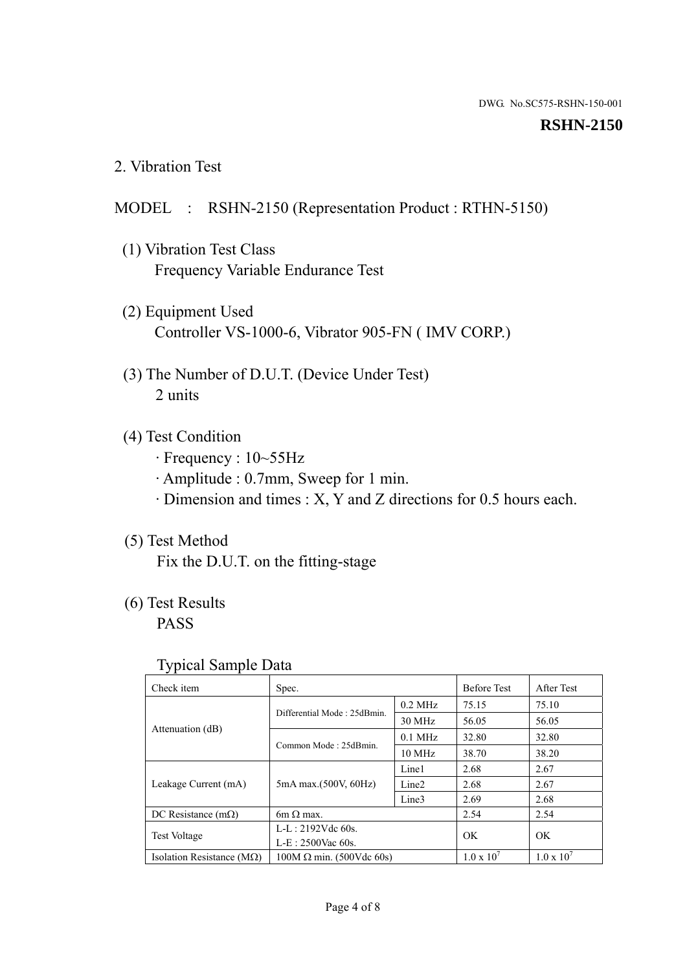#### **RSHN-2150**

2. Vibration Test

# MODEL : RSHN-2150 (Representation Product : RTHN-5150)

- (1) Vibration Test Class Frequency Variable Endurance Test
- (2) Equipment Used Controller VS-1000-6, Vibrator 905-FN ( IMV CORP.)
- (3) The Number of D.U.T. (Device Under Test) 2 units
- (4) Test Condition
	- · Frequency : 10~55Hz
	- · Amplitude : 0.7mm, Sweep for 1 min.
	- · Dimension and times : X, Y and Z directions for 0.5 hours each.

# (5) Test Method

Fix the D.U.T. on the fitting-stage

# (6) Test Results

PASS

#### Typical Sample Data

| Check item                         | Spec.                           |                   | <b>Before Test</b>  | After Test          |
|------------------------------------|---------------------------------|-------------------|---------------------|---------------------|
|                                    | Differential Mode: 25dBmin.     | $0.2$ MHz         | 75.15               | 75.10               |
|                                    |                                 | 30 MHz            | 56.05               | 56.05               |
| Attenuation (dB)                   |                                 | $0.1$ MHz         | 32.80               | 32.80               |
|                                    | Common Mode: 25dBmin.           | 10 MHz            | 38.70               | 38.20               |
| Leakage Current (mA)               | 5mA max.(500V, 60Hz)            | Line1             | 2.68                | 2.67                |
|                                    |                                 | Line <sub>2</sub> | 2.68                | 2.67                |
|                                    |                                 | Line3             | 2.69                | 2.68                |
| DC Resistance $(m\Omega)$          | 6m $\Omega$ max.                |                   | 2.54                | 2.54                |
| <b>Test Voltage</b>                | $L-L: 2192Vdc$ 60s.             |                   | OK                  | OK                  |
|                                    | $L-E$ : 2500Vac 60s.            |                   |                     |                     |
| Isolation Resistance ( $M\Omega$ ) | $100M \Omega$ min. (500Vdc 60s) |                   | $1.0 \times 10^{7}$ | $1.0 \times 10^{7}$ |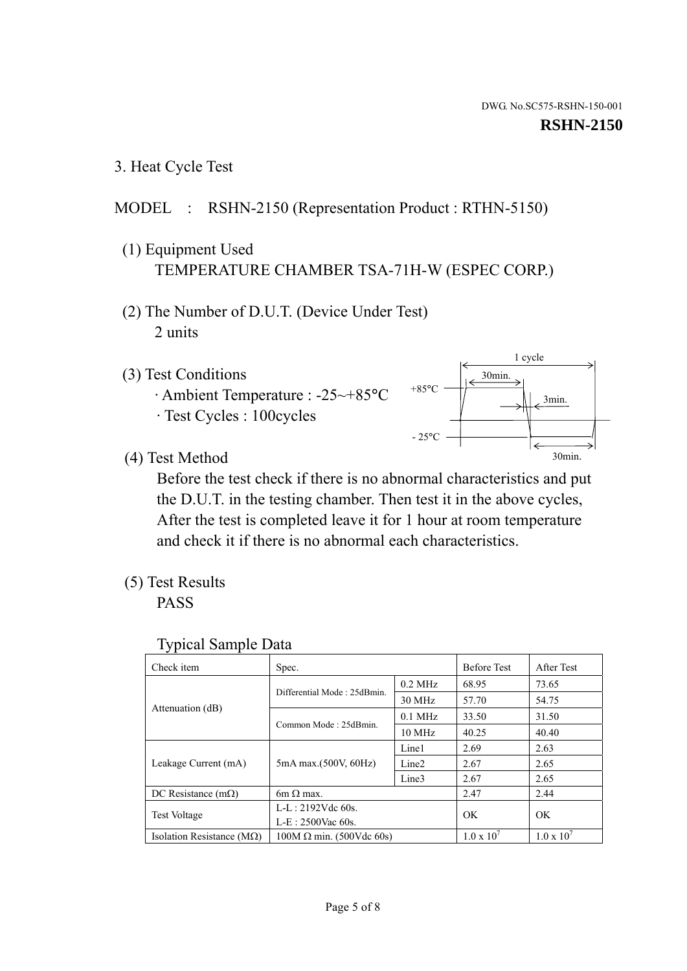1 cycle

30min.

3min.

30min.

3. Heat Cycle Test

# MODEL : RSHN-2150 (Representation Product : RTHN-5150)

- (1) Equipment Used TEMPERATURE CHAMBER TSA-71H-W (ESPEC CORP.)
- (2) The Number of D.U.T. (Device Under Test) 2 units
- (3) Test Conditions
	- · Ambient Temperature : -25~+85°C · Test Cycles : 100cycles
- (4) Test Method

 Before the test check if there is no abnormal characteristics and put the D.U.T. in the testing chamber. Then test it in the above cycles, After the test is completed leave it for 1 hour at room temperature and check it if there is no abnormal each characteristics.

+85°C

 $-25^{\circ}$ C

(5) Test Results

PASS

| <b>Typical Sample Data</b> |  |  |
|----------------------------|--|--|
|----------------------------|--|--|

| Check item                         | Spec.                           |                   | <b>Before Test</b>  | After Test          |
|------------------------------------|---------------------------------|-------------------|---------------------|---------------------|
|                                    | Differential Mode: 25dBmin.     | $0.2$ MHz         | 68.95               | 73.65               |
|                                    |                                 | $30$ MHz          | 57.70               | 54.75               |
| Attenuation (dB)                   | Common Mode: 25dBmin.           | $0.1$ MHz         | 33.50               | 31.50               |
|                                    |                                 | $10$ MHz          | 40.25               | 40.40               |
| Leakage Current (mA)               | 5mA max.(500V, 60Hz)            | Line1             | 2.69                | 2.63                |
|                                    |                                 | Line <sub>2</sub> | 2.67                | 2.65                |
|                                    |                                 | Line3             | 2.67                | 2.65                |
| DC Resistance $(m\Omega)$          | 6m $\Omega$ max.                |                   | 2.47                | 2.44                |
| Test Voltage                       | $L-L: 2192Vdc$ 60s.             |                   | OK                  | OK                  |
|                                    | $L-E$ : 2500Vac 60s.            |                   |                     |                     |
| Isolation Resistance ( $M\Omega$ ) | $100M \Omega$ min. (500Vdc 60s) |                   | $1.0 \times 10^{7}$ | $1.0 \times 10^{7}$ |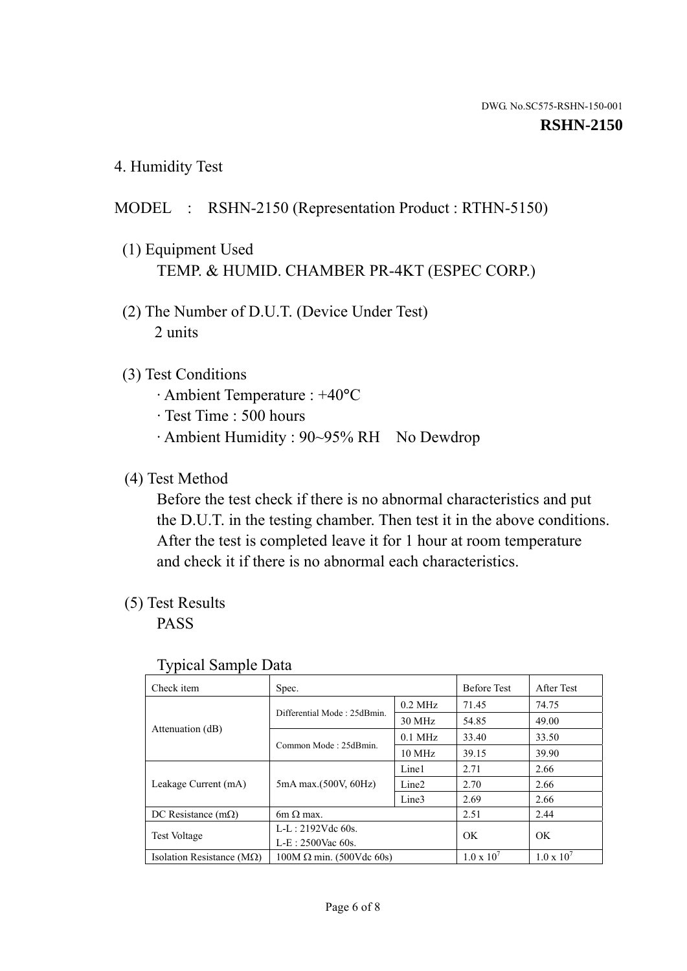4. Humidity Test

# MODEL : RSHN-2150 (Representation Product : RTHN-5150)

- (1) Equipment Used TEMP. & HUMID. CHAMBER PR-4KT (ESPEC CORP.)
- (2) The Number of D.U.T. (Device Under Test) 2 units

### (3) Test Conditions

- · Ambient Temperature : +40°C
- · Test Time : 500 hours
- · Ambient Humidity : 90~95% RH No Dewdrop

# (4) Test Method

 Before the test check if there is no abnormal characteristics and put the D.U.T. in the testing chamber. Then test it in the above conditions. After the test is completed leave it for 1 hour at room temperature and check it if there is no abnormal each characteristics.

# (5) Test Results

PASS

| ັ່<br>Check item                   | Spec.                       |                   | <b>Before Test</b>  | After Test          |
|------------------------------------|-----------------------------|-------------------|---------------------|---------------------|
|                                    | Differential Mode: 25dBmin. | $0.2$ MHz         | 71.45               | 74.75               |
|                                    |                             | 30 MHz            | 54.85               | 49.00               |
| Attenuation (dB)                   | Common Mode: 25dBmin.       | $0.1$ MHz         | 33.40               | 33.50               |
|                                    |                             | $10 \text{ MHz}$  | 39.15               | 39.90               |
| Leakage Current (mA)               | 5mA max.(500V, 60Hz)        | Line1             | 2.71                | 2.66                |
|                                    |                             | Line <sub>2</sub> | 2.70                | 2.66                |
|                                    |                             | Line3             | 2.69                | 2.66                |
| DC Resistance $(m\Omega)$          | $6m \Omega$ max.            |                   | 2.51                | 2.44                |
| Test Voltage                       | $L-L: 2192Vdc$ 60s.         |                   | OK                  | OK.                 |
|                                    | $L-E: 2500$ Vac 60s.        |                   |                     |                     |
| Isolation Resistance ( $M\Omega$ ) | $100M$ Ω min. (500Vdc 60s)  |                   | $1.0 \times 10^{7}$ | $1.0 \times 10^{7}$ |

#### Typical Sample Data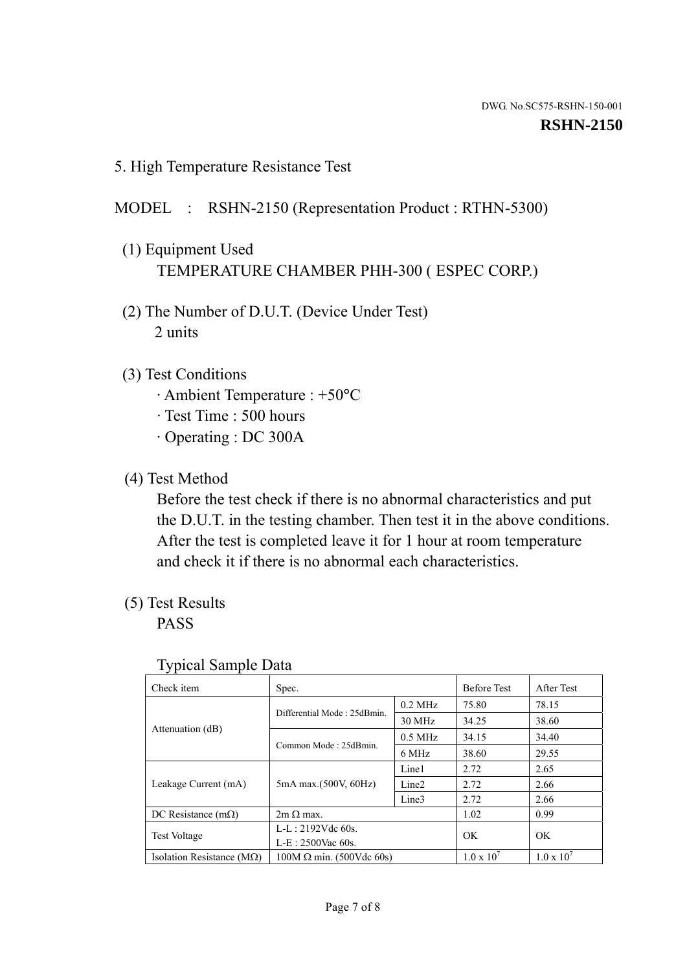5. High Temperature Resistance Test

# MODEL : RSHN-2150 (Representation Product : RTHN-5300)

- (1) Equipment Used TEMPERATURE CHAMBER PHH-300 ( ESPEC CORP.)
- (2) The Number of D.U.T. (Device Under Test) 2 units
- (3) Test Conditions
	- · Ambient Temperature : +50°C
	- · Test Time : 500 hours
	- · Operating : DC 300A
- (4) Test Method

 Before the test check if there is no abnormal characteristics and put the D.U.T. in the testing chamber. Then test it in the above conditions. After the test is completed leave it for 1 hour at room temperature and check it if there is no abnormal each characteristics.

(5) Test Results

PASS

| . .<br>Check item                  | Spec.                           |                   | <b>Before Test</b>  | After Test          |
|------------------------------------|---------------------------------|-------------------|---------------------|---------------------|
|                                    | Differential Mode: 25dBmin.     | $0.2$ MHz         | 75.80               | 78.15               |
|                                    |                                 | 30 MHz            | 34.25               | 38.60               |
| Attenuation (dB)                   | Common Mode: 25dBmin.           | $0.5$ MHz         | 34.15               | 34.40               |
|                                    |                                 | 6 MHz             | 38.60               | 29.55               |
| Leakage Current (mA)               | 5mA max.(500V, 60Hz)            | Line1             | 2.72                | 2.65                |
|                                    |                                 | Line <sub>2</sub> | 2.72                | 2.66                |
|                                    |                                 | Line3             | 2.72                | 2.66                |
| DC Resistance $(m\Omega)$          | $2m \Omega$ max.                |                   | 1.02                | 0.99                |
| <b>Test Voltage</b>                | $L-L: 2192Vdc$ 60s.             |                   | OK                  | OK                  |
|                                    | $L-E: 2500$ Vac 60s.            |                   |                     |                     |
| Isolation Resistance ( $M\Omega$ ) | $100M \Omega$ min. (500Vdc 60s) |                   | $1.0 \times 10^{7}$ | $1.0 \times 10^{7}$ |

#### Typical Sample Data